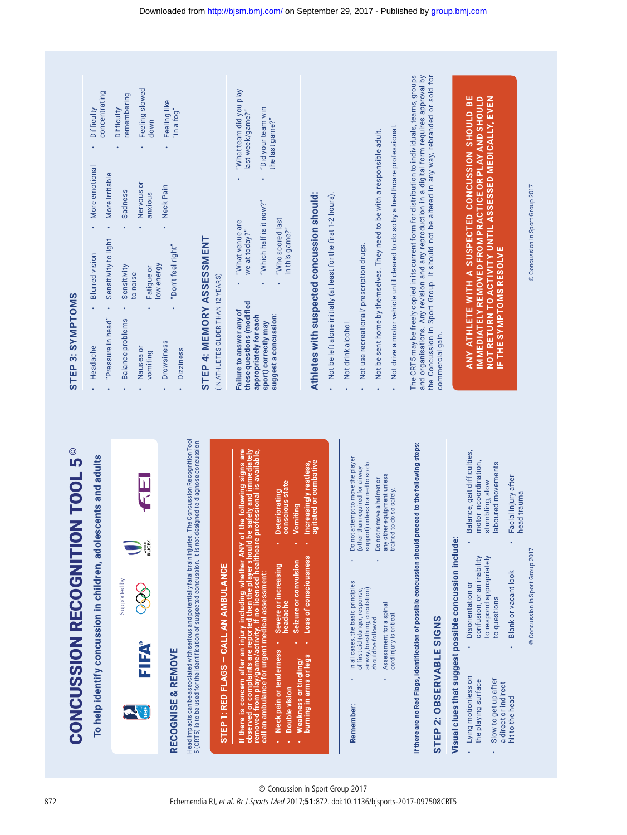| Q<br>ŋ |
|--------|
|        |
|        |
| l      |
|        |
| l<br>j |
|        |
|        |
|        |
|        |
|        |
| I      |
|        |
|        |
| Í      |
| I      |
|        |
|        |
|        |
|        |
| ۱      |
|        |
|        |
| ׇ֚֕֡   |
|        |
|        |
|        |
| l      |

To help identify concussion in children, adolescents and adults **To help identify concussion in children, adolescents and adults**



| If there is concern after an injury including whether ANY of the following signs are<br>observed or complaints are reported then the player should be safely and immediately<br>removed from play/game/activity. If no licensed healthcare professional is available. | conscious state<br>Deteriorating               |
|-----------------------------------------------------------------------------------------------------------------------------------------------------------------------------------------------------------------------------------------------------------------------|------------------------------------------------|
|                                                                                                                                                                                                                                                                       |                                                |
|                                                                                                                                                                                                                                                                       |                                                |
|                                                                                                                                                                                                                                                                       | Neck pain or tenderness • Severe or increasing |
|                                                                                                                                                                                                                                                                       |                                                |
| call an ambulance for urgent medical assessment:                                                                                                                                                                                                                      |                                                |
|                                                                                                                                                                                                                                                                       | headache                                       |
|                                                                                                                                                                                                                                                                       |                                                |
|                                                                                                                                                                                                                                                                       |                                                |
|                                                                                                                                                                                                                                                                       |                                                |
|                                                                                                                                                                                                                                                                       |                                                |
|                                                                                                                                                                                                                                                                       |                                                |
|                                                                                                                                                                                                                                                                       |                                                |
|                                                                                                                                                                                                                                                                       |                                                |
|                                                                                                                                                                                                                                                                       |                                                |
|                                                                                                                                                                                                                                                                       | ٠                                              |
|                                                                                                                                                                                                                                                                       |                                                |

| · Deteriorating                                | conscious state | Vomiting              | Loss of consciousness (All Photeasingly restless |
|------------------------------------------------|-----------------|-----------------------|--------------------------------------------------|
|                                                |                 |                       |                                                  |
|                                                | headache        | Seizure or convulsion |                                                  |
|                                                |                 |                       |                                                  |
| Neck pain or tenderness • Severe or increasing | Double vision   | Weakness or tingling  | fourning in arms or legs                         |
|                                                |                 |                       |                                                  |

| Increasingly restless<br>agitated or combati |  |
|----------------------------------------------|--|
|                                              |  |
| -oss of consciousness                        |  |

Do not attempt to move the player<br>(other than required for airway<br>support) unless trained to so do. Do not attempt to move the player support) unless trained to so do. (other than required for airway • Do not remove a helmet or •In all cases, the basic principles<br>of first aid (danger, response,<br>airway, breathing, circulation) **Remember:** • In all cases, the basic principles of first aid (danger, response, airway, breathing, circulation) Assessment for a spinal<br>cord injury is critical. • Assessment for a spinal should be followed. should be followed.

l,

Remember:

Do not remove a helmet or<br>any other equipment unless<br>trained to do so safely. any other equipment unless trained to do so safely.

• Not be sent home by themselves. They need to be with a responsible adult. • Not drive a motor vehicle until cleared to do so by a healthcare professional.

Not drive a motor vehicle until cleared to do so by a healthcare professional. Not be sent home by themselves. They need to be with a responsible adult.

The CRT5 may be freely copied in its current form for distribution to individuals, teams, groups and organisations. Any revision and any reproduction in a digital form requires approval by the Concussion in Sport Group. It should not be altered in any way, rebranded or sold for

The CRT5 may be freely copied in its current form for distribution to individuals, teams, groups and organisations. Any revision and any reproduction in a digital form requires approval by<br>the Concussion in Sport Group. It should not be altered in any way, rebranded or sold for

commercial gain.

commercial gain.

If there are no Red Flags, identification of possible concussion should proceed to the following steps: **If there are no Red Flags, identification of possible concussion should proceed to the following steps:**

cord injury is critical.

## STEP 2: OBSERVABLE SIGNS **STEP 2: OBSERVABLE SIGNS**

## Visual clues that suggest possible concussion include: **Visual clues that suggest possible concussion include:**

• Balance, gait difficulties, motor incoordination, stumbling, slow

l,

motor incoordination,

stumbling, slow

Balance, gait difficulties,

- to respond appropriately confusion, or an inability confusion, or an inability to respond appropriately Blank or vacant look Blank or vacant look Disorientation or Disorientation or to questions to questions •Lying motionless on • Lying motionless on • Slow to get up after the playing surface Slow to get up after the playing surface a direct or indirect a direct or indirect hit to the head hit to the head
- laboured movements laboured movements Facial injury after • Facial injury after
	- head trauma head trauma © Concussion in Sport Group 2017

## STEP 3: SYMPTOMS **STEP 3: SYMPTOMS**

| $\bullet$            | "Pressure in head"<br>Headache                                                                                                   | Sensitivity to light<br><b>Blurred</b> vision                                                     | More emotional<br>More Irritable |                 | concentrating<br>Difficulty                                       |  |
|----------------------|----------------------------------------------------------------------------------------------------------------------------------|---------------------------------------------------------------------------------------------------|----------------------------------|-----------------|-------------------------------------------------------------------|--|
|                      | <b>Balance problems</b><br>Nausea or<br>vomiting                                                                                 | Sensitivity<br>Fatigue or<br>to noise                                                             | Nervous or<br>Sadness<br>anxious |                 | Feeling slowed<br>remembering<br>Difficulty<br>down               |  |
|                      | <b>Drowsiness</b><br><b>Dizziness</b>                                                                                            | "Don't feel right"<br>low energy                                                                  | Neck Pain                        |                 | Feeling like<br>"in a fog"                                        |  |
|                      | STEP 4: MEMORY ASSESSMENT<br>(IN ATHLETES OLDER THAN 12 YEARS)                                                                   |                                                                                                   |                                  |                 |                                                                   |  |
|                      | these questions (modified<br>Failure to answer any of<br>suggest a concussion:<br>appropriately for each<br>sport) correctly may | "Which half is it now?"<br>"Who scored last<br>"What venue are<br>in this game?"<br>we at today?" |                                  | the last game?" | "What team did you play<br>"Did your team win<br>last week/game?" |  |
| $\ddot{\phantom{a}}$ | Athletes with suspected concussion should:<br>Not drink alcohol.                                                                 | Not be left alone initially (at least for the first 1-2 hours).                                   |                                  |                 |                                                                   |  |
|                      | Not use recreational/ prescription drugs.                                                                                        |                                                                                                   |                                  |                 |                                                                   |  |

ANY ATHLETE WITH A SUSPECTED CONCUSSION SHOULD BE<br>IMMEDIATELYREMOVED FROM PRACTICE OR PLAY AND SHOULD<br>NOT RETURN TO ACTIVITY UNTIL ASSESSED MEDICALLY, EVEN<br>IF THE SYMPTOMS RESOLVE **ANY ATHLETE WITH A SUSPECTED CONCUSSION SHOULD BE IMMEDIATELY REMOVED FROM PRACTICE OR PLAY AND SHOULD NOT RETURN TO ACTIVITY UNTIL ASSESSED MEDICALLY, EVEN IF THE SYMPTOMS RESOLVE**

© Concussion in Sport Group 2017 © Concussion in Sport Group 2017 © Concussion in Sport Group 2017 © Concussion in Sport Group 2017